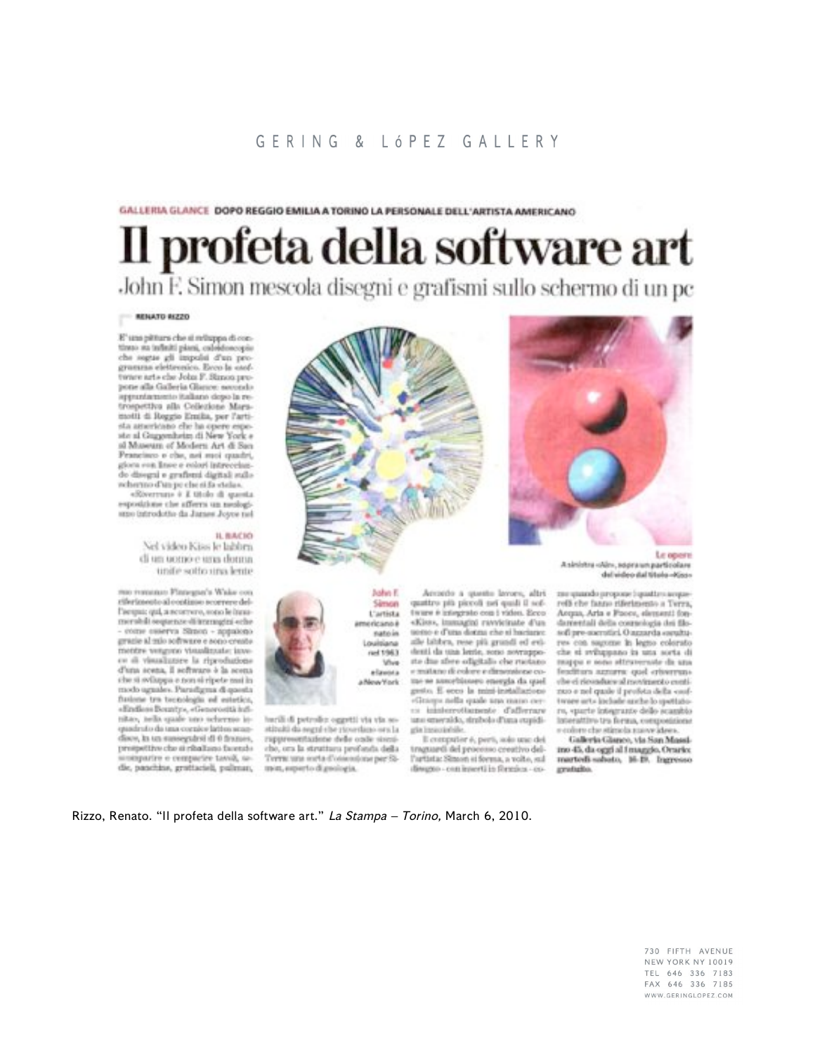## GERING & LÓPEZ GALLERY

GALLERIA GLANCE DOPO REGGIO EMILIA A TORINO LA PERSONALE DELL'ARTISTA AMERICANO

## Il profeta della software art John F. Simon mescola disegni e grafismi sullo schermo di un pc

## **MINATO RIZZO**

E' una pittura che si religipa di contimo sa infiniti piani, caleidoscopie che segne gli impulsi d'un progrueuras elettronico. Esco la caof-<br>turare arts che John F. Simon propone alla Galleria Giance, secondo appuntamento italiano dopo la retrospettiva alla Collezione Maramotil di Reggio Emilia, per l'artista americano che ha opere espeol Museum of Modern Art di San Prancisco e che, nei suoi quadri, giora con lince e rolari intrecelus. do disegni e grafieni digitali sullo reherno d'un pe che si fa etala».

«Riverrun» è E titolo di questa esposizione che afferra un neologismo introdotto da Janes Joyce nel

## IL BACIO

Nel video Kiss le labbra di un uomo e una donna. unific sotto una lente

rtoo restorato Finnegue's Wake o riferimento al continuo scorrere dell'aestrate qui, a neoerwro, sono le innumershilt sequence di intempini eche come ceserva Simon - appaicno grazie al mio software e sono creste mentre vengono visualizzate: iave es di visualizzire la riproduzione d'una scena, il software è la scena che si sviluppa e non si ripete mai in modo uguales. Paradigma di questa fusione tra tecnologia ed estatica, «Endless Bounty», «Generosità iufinita», tella quale uno sciermo ioquadruto da una cornice lattos scandisco, In un susseguirsi di 0 frances, prospetitve che si ribalizzo facetzioninparire e cemparire tavoli, sedie, panchine, grattacieli, pulman,



Simon

L'artista

natrin

Louisiana

 $nd1963$ 

elavora

a New York

Vive

americano è

quattro più piccoli nei quali il sof-

tware a integrate con i video. Ecco

«Kiss», immagini ravvicinate d'un

uomo e d'una donna che si haciane:

alle bibbra, rese più grundi ed evi-

denti da una lerrie, sono sovrappo-

ste due abee odigitalis che ruotano.

e matano di colore e dimensione co-

me se assorbissero energia da quel

gesto. E ecco la misi-installazione

«Grasp» nella quale una mano cer-

13 innierediamente d'afferrare

uno smeraldo, simbolo d'una supidi-

traguardi del processo creativo del-

l'artista: Simon si forma, a volte, sul

disagno - con inverti in fòrmica - co-

E computer é, perù, solo une del

gia insectable.



A sinistra «Ain», adpra un particolare del video dal titolo-Kiss-

zne quando propone lopasta susoparelli che fanno riferimento a Terra, Acqua, Aria e Fuore, elementi fondamentali della commologia dei filosoft pre-speratiei, Ougaarda speultures con sugurne in legno colorato che si sviluppano in una sorta di mappa e sono sticurerante da una feadturn agnurer quel criverrunche ci riovaduce al movimento contizico e nel quole il profeta della cooftwee arts include anche lo spottatoro, «parte integrante dello scambio Interative tra ferma, composizione e colore che stimola suove idees.

Galleria Glanco, via San Massimo 45, da oggi al I maggio, Orario: mertedi sabeto, 16-19. Ingresso gratalio.

Rizzo, Renato. "Il profeta della software art." La Stampa - Torino, March 6, 2010.

mon, superto di geologia.

barili di petrolio oggetti via via so-

stituiti da segni che ricordano ora la

rappresentazione delle onde sisco-

che, ora la struttura profonda della

Terra: una sorta d'ossessione per Si-

730 FIFTH AVENUE NEW YORK NY 10019 TEL 646 336 7183 FAX 646 336 7185 WWW.GERINGLOPEZ.COM